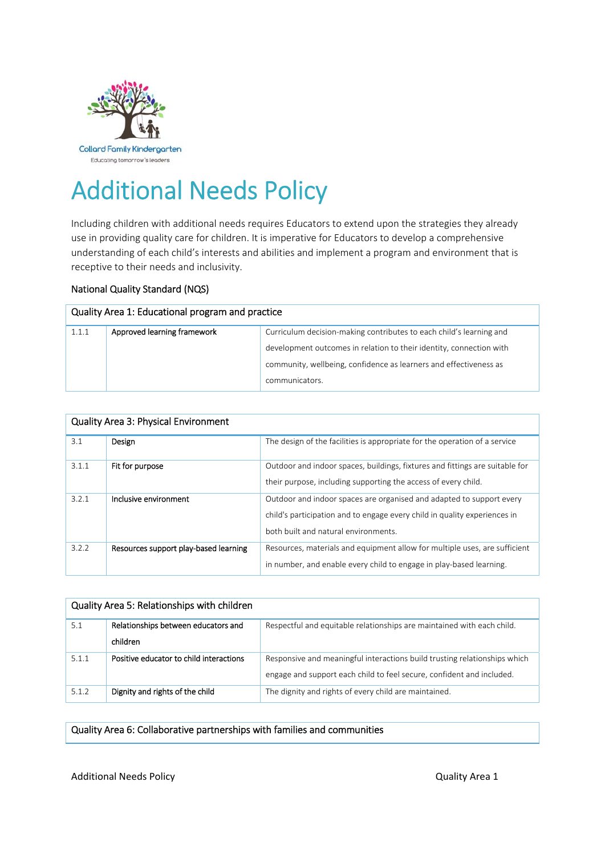

# Additional Needs Policy

Including children with additional needs requires Educators to extend upon the strategies they already use in providing quality care for children. It is imperative for Educators to develop a comprehensive understanding of each child's interests and abilities and implement a program and environment that is receptive to their needs and inclusivity.

### National Quality Standard (NQS)

| Quality Area 1: Educational program and practice |                             |                                                                     |  |  |
|--------------------------------------------------|-----------------------------|---------------------------------------------------------------------|--|--|
| 1.1.1                                            | Approved learning framework | Curriculum decision-making contributes to each child's learning and |  |  |
|                                                  |                             | development outcomes in relation to their identity, connection with |  |  |
|                                                  |                             | community, wellbeing, confidence as learners and effectiveness as   |  |  |
|                                                  |                             | communicators.                                                      |  |  |

| <b>Quality Area 3: Physical Environment</b> |                                       |                                                                                                                                                                                           |  |  |
|---------------------------------------------|---------------------------------------|-------------------------------------------------------------------------------------------------------------------------------------------------------------------------------------------|--|--|
| 3.1                                         | Design                                | The design of the facilities is appropriate for the operation of a service                                                                                                                |  |  |
| 3.1.1                                       | Fit for purpose                       | Outdoor and indoor spaces, buildings, fixtures and fittings are suitable for<br>their purpose, including supporting the access of every child.                                            |  |  |
| 3.2.1                                       | Inclusive environment                 | Outdoor and indoor spaces are organised and adapted to support every<br>child's participation and to engage every child in quality experiences in<br>both built and natural environments. |  |  |
| 3.2.2                                       | Resources support play-based learning | Resources, materials and equipment allow for multiple uses, are sufficient<br>in number, and enable every child to engage in play-based learning.                                         |  |  |

| Quality Area 5: Relationships with children |                                                 |                                                                                                                                                    |  |  |
|---------------------------------------------|-------------------------------------------------|----------------------------------------------------------------------------------------------------------------------------------------------------|--|--|
| 5.1                                         | Relationships between educators and<br>children | Respectful and equitable relationships are maintained with each child.                                                                             |  |  |
|                                             |                                                 |                                                                                                                                                    |  |  |
| 5.1.1                                       | Positive educator to child interactions         | Responsive and meaningful interactions build trusting relationships which<br>engage and support each child to feel secure, confident and included. |  |  |
| 5.1.2                                       | Dignity and rights of the child                 | The dignity and rights of every child are maintained.                                                                                              |  |  |

#### Quality Area 6: Collaborative partnerships with families and communities

# Additional Needs Policy **and Accept Accept Accept Accept Accept** Area 2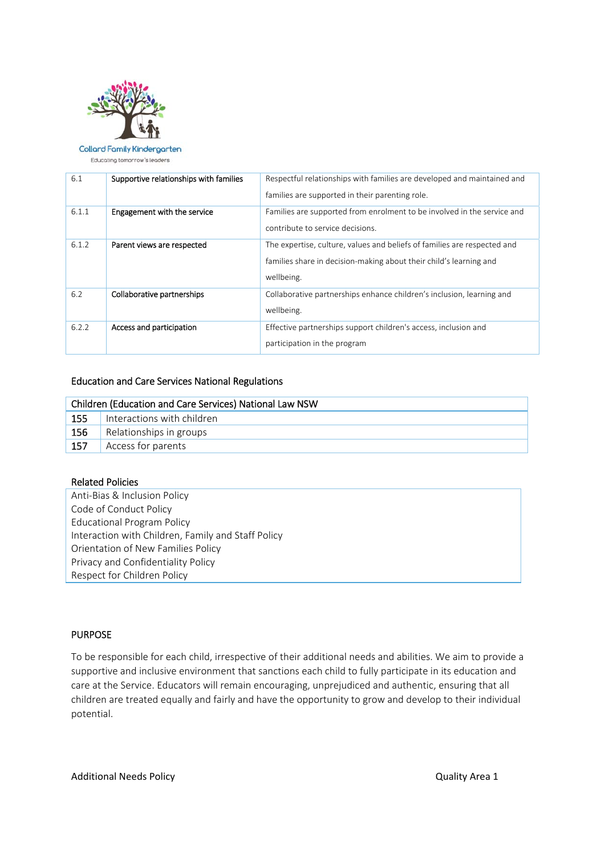

## **Collard Family Kindergarten**

Educating tomorrow's leaders

| 6.1   | Supportive relationships with families | Respectful relationships with families are developed and maintained and<br>families are supported in their parenting role.                                   |
|-------|----------------------------------------|--------------------------------------------------------------------------------------------------------------------------------------------------------------|
| 6.1.1 | Engagement with the service            | Families are supported from enrolment to be involved in the service and<br>contribute to service decisions.                                                  |
| 6.1.2 | Parent views are respected             | The expertise, culture, values and beliefs of families are respected and<br>families share in decision-making about their child's learning and<br>wellbeing. |
| 6.2   | Collaborative partnerships             | Collaborative partnerships enhance children's inclusion, learning and<br>wellbeing.                                                                          |
| 6.2.2 | Access and participation               | Effective partnerships support children's access, inclusion and<br>participation in the program                                                              |

#### Education and Care Services National Regulations

| Children (Education and Care Services) National Law NSW |                            |  |
|---------------------------------------------------------|----------------------------|--|
| 155                                                     | Interactions with children |  |
| 156                                                     | Relationships in groups    |  |
| 157                                                     | Access for parents         |  |

#### Related Policies

Anti‐Bias & Inclusion Policy Code of Conduct Policy Educational Program Policy Interaction with Children, Family and Staff Policy Orientation of New Families Policy Privacy and Confidentiality Policy Respect for Children Policy

#### PURPOSE

To be responsible for each child, irrespective of their additional needs and abilities. We aim to provide a supportive and inclusive environment that sanctions each child to fully participate in its education and care at the Service. Educators will remain encouraging, unprejudiced and authentic, ensuring that all children are treated equally and fairly and have the opportunity to grow and develop to their individual potential.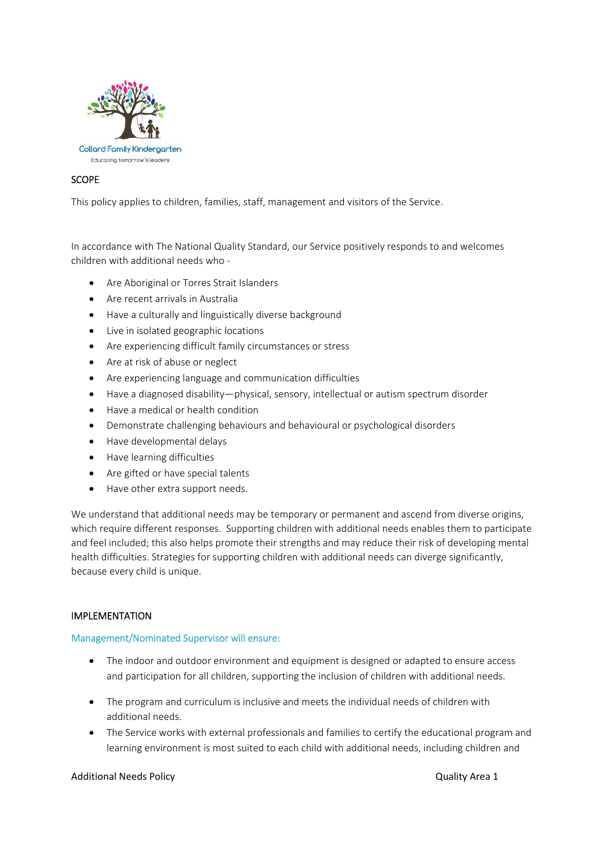

# **SCOPE**

This policy applies to children, families, staff, management and visitors of the Service.

In accordance with The National Quality Standard, our Service positively responds to and welcomes children with additional needs who ‐

- Are Aboriginal or Torres Strait Islanders
- Are recent arrivals in Australia
- Have a culturally and linguistically diverse background
- Live in isolated geographic locations
- Are experiencing difficult family circumstances or stress
- Are at risk of abuse or neglect
- Are experiencing language and communication difficulties
- Have a diagnosed disability—physical, sensory, intellectual or autism spectrum disorder
- Have a medical or health condition
- Demonstrate challenging behaviours and behavioural or psychological disorders
- Have developmental delays
- Have learning difficulties
- Are gifted or have special talents
- Have other extra support needs.

We understand that additional needs may be temporary or permanent and ascend from diverse origins, which require different responses. Supporting children with additional needs enables them to participate and feel included; this also helps promote their strengths and may reduce their risk of developing mental health difficulties. Strategies for supporting children with additional needs can diverge significantly, because every child is unique.

#### IMPLEMENTATION

#### Management/Nominated Supervisor will ensure:

- The indoor and outdoor environment and equipment is designed or adapted to ensure access and participation for all children, supporting the inclusion of children with additional needs.
- The program and curriculum is inclusive and meets the individual needs of children with additional needs.
- The Service works with external professionals and families to certify the educational program and learning environment is most suited to each child with additional needs, including children and

#### Additional Needs Policy **Contains a struck of the Container Container Container Additional Needs** Policy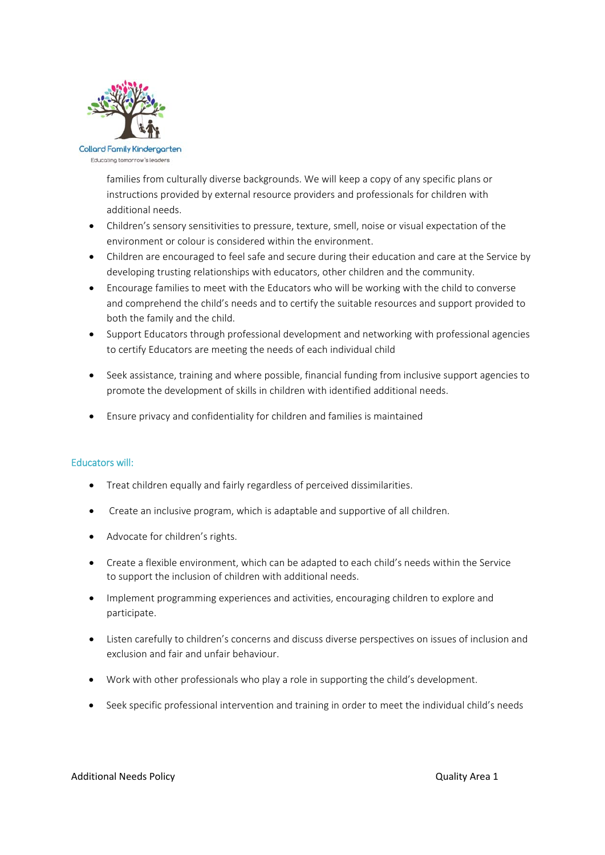

families from culturally diverse backgrounds. We will keep a copy of any specific plans or instructions provided by external resource providers and professionals for children with additional needs.

- Children's sensory sensitivities to pressure, texture, smell, noise or visual expectation of the environment or colour is considered within the environment.
- Children are encouraged to feel safe and secure during their education and care at the Service by developing trusting relationships with educators, other children and the community.
- Encourage families to meet with the Educators who will be working with the child to converse and comprehend the child's needs and to certify the suitable resources and support provided to both the family and the child.
- Support Educators through professional development and networking with professional agencies to certify Educators are meeting the needs of each individual child
- Seek assistance, training and where possible, financial funding from inclusive support agencies to promote the development of skills in children with identified additional needs.
- Ensure privacy and confidentiality for children and families is maintained

#### Educators will:

- Treat children equally and fairly regardless of perceived dissimilarities.
- Create an inclusive program, which is adaptable and supportive of all children.
- Advocate for children's rights.
- Create a flexible environment, which can be adapted to each child's needs within the Service to support the inclusion of children with additional needs.
- Implement programming experiences and activities, encouraging children to explore and participate.
- Listen carefully to children's concerns and discuss diverse perspectives on issues of inclusion and exclusion and fair and unfair behaviour.
- Work with other professionals who play a role in supporting the child's development.
- Seek specific professional intervention and training in order to meet the individual child's needs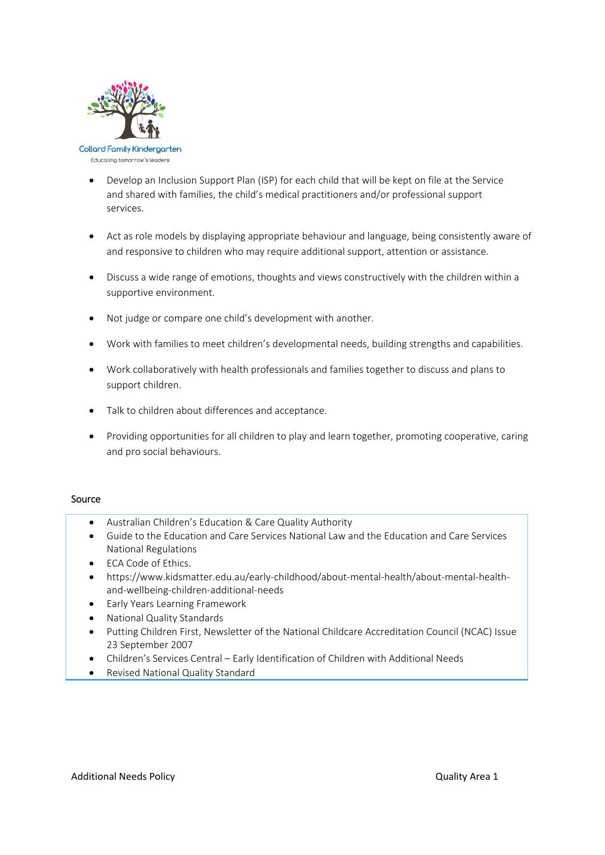

- Develop an Inclusion Support Plan (ISP) for each child that will be kept on file at the Service and shared with families, the child's medical practitioners and/or professional support services.
- Act as role models by displaying appropriate behaviour and language, being consistently aware of and responsive to children who may require additional support, attention or assistance.
- Discuss a wide range of emotions, thoughts and views constructively with the children within a supportive environment.
- Not judge or compare one child's development with another.
- Work with families to meet children's developmental needs, building strengths and capabilities.
- Work collaboratively with health professionals and families together to discuss and plans to support children.
- Talk to children about differences and acceptance.
- Providing opportunities for all children to play and learn together, promoting cooperative, caring and pro social behaviours.

#### Source

- Australian Children's Education & Care Quality Authority
- Guide to the Education and Care Services National Law and the Education and Care Services National Regulations
- ECA Code of Ethics.
- https://www.kidsmatter.edu.au/early‐childhood/about‐mental‐health/about‐mental‐health‐ and‐wellbeing‐children‐additional‐needs
- Early Years Learning Framework
- National Quality Standards
- Putting Children First, Newsletter of the National Childcare Accreditation Council (NCAC) Issue 23 September 2007
- Children's Services Central Early Identification of Children with Additional Needs
- Revised National Quality Standard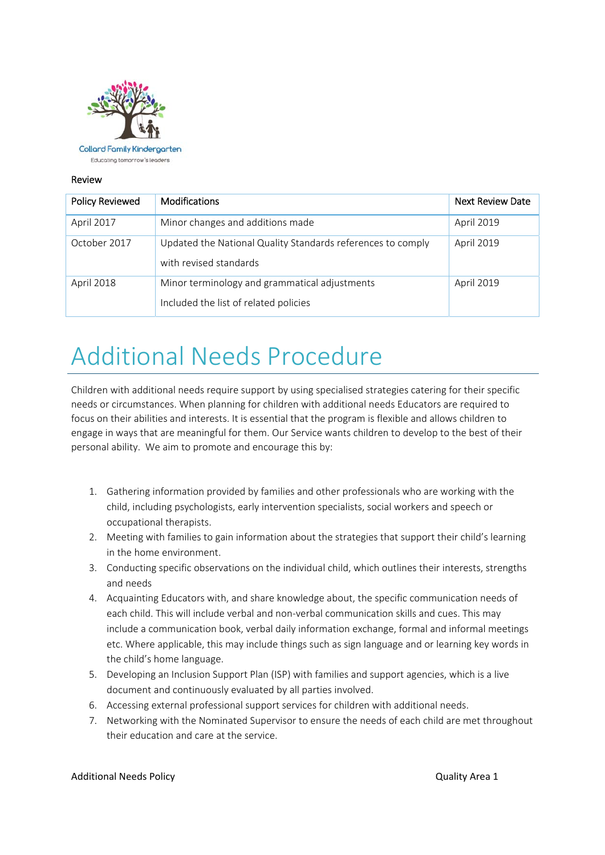

**Collard Family Kindergarten** Educating tomorrow's leaders

#### Review

| <b>Policy Reviewed</b> | <b>Modifications</b>                                                                   | <b>Next Review Date</b> |
|------------------------|----------------------------------------------------------------------------------------|-------------------------|
| April 2017             | Minor changes and additions made                                                       | April 2019              |
| October 2017           | Updated the National Quality Standards references to comply<br>with revised standards  | April 2019              |
| April 2018             | Minor terminology and grammatical adjustments<br>Included the list of related policies | April 2019              |

# Additional Needs Procedure

Children with additional needs require support by using specialised strategies catering for their specific needs or circumstances. When planning for children with additional needs Educators are required to focus on their abilities and interests. It is essential that the program is flexible and allows children to engage in ways that are meaningful for them. Our Service wants children to develop to the best of their personal ability. We aim to promote and encourage this by:

- 1. Gathering information provided by families and other professionals who are working with the child, including psychologists, early intervention specialists, social workers and speech or occupational therapists.
- 2. Meeting with families to gain information about the strategies that support their child's learning in the home environment.
- 3. Conducting specific observations on the individual child, which outlines their interests, strengths and needs
- 4. Acquainting Educators with, and share knowledge about, the specific communication needs of each child. This will include verbal and non-verbal communication skills and cues. This may include a communication book, verbal daily information exchange, formal and informal meetings etc. Where applicable, this may include things such as sign language and or learning key words in the child's home language.
- 5. Developing an Inclusion Support Plan (ISP) with families and support agencies, which is a live document and continuously evaluated by all parties involved.
- 6. Accessing external professional support services for children with additional needs.
- 7. Networking with the Nominated Supervisor to ensure the needs of each child are met throughout their education and care at the service.

#### Additional Needs Policy **Contains a struck of the Container Additional Needs** Policy **Contains a struck of the Contains Area 1**